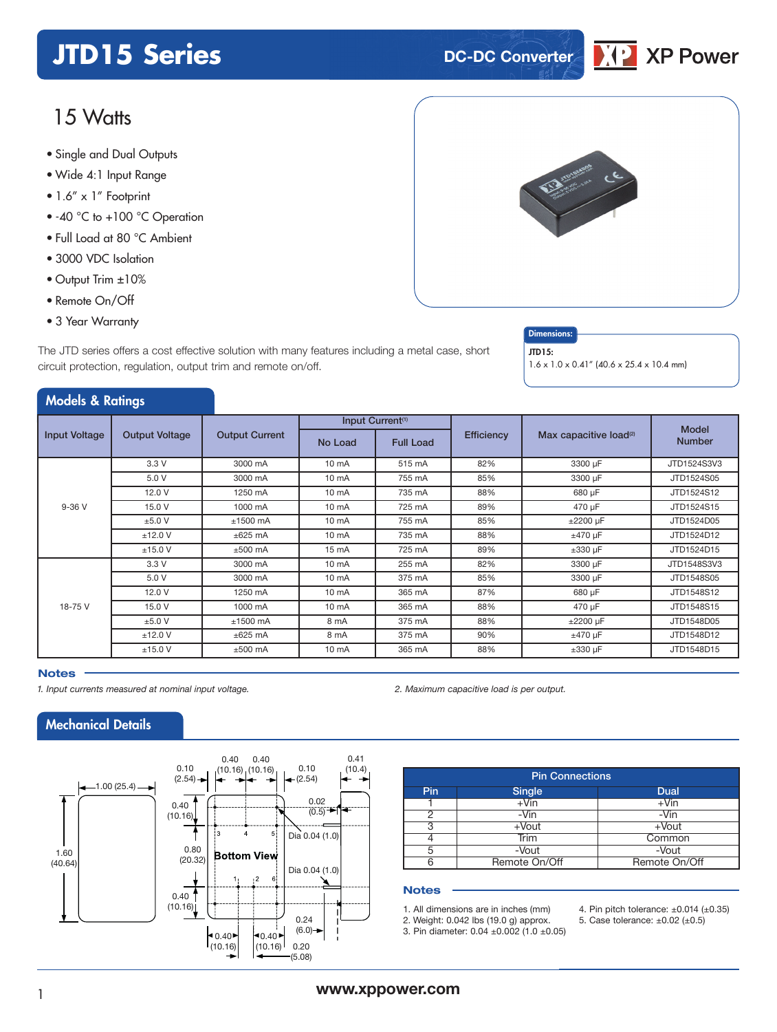## **JTD15 Series DC-DC Converter**

## 15 Watts

- **xxx Series** Single and Dual Outputs
- Wide 4:1 Input Range
- 1.6" x 1" Footprint
- -40 °C to +100 °C Operation
- Full Load at 80 °C Ambient
- 3000 VDC Isolation
- Output Trim ±10%
- Remote On/Off
- 3 Year Warranty

Models & Ratings

The JTD series offers a cost effective solution with many features including a metal case, short circuit protection, regulation, output trim and remote on/off.

#### **Dimensions** JTD15:

1.6 x 1.0 x 0.41" (40.6 x 25.4 x 10.4 mm)

|                      |                       |                       |                 | Input Current <sup>(1)</sup> |                   |                                    |                               |  |
|----------------------|-----------------------|-----------------------|-----------------|------------------------------|-------------------|------------------------------------|-------------------------------|--|
| <b>Input Voltage</b> | <b>Output Voltage</b> | <b>Output Current</b> | No Load         | <b>Full Load</b>             | <b>Efficiency</b> | Max capacitive load <sup>(2)</sup> | <b>Model</b><br><b>Number</b> |  |
|                      | 3.3V                  | 3000 mA               | 10 mA           | 515 mA                       | 82%               | 3300 µF                            | JTD1524S3V3                   |  |
|                      | 5.0 V                 | 3000 mA               | 10 mA           | 755 mA                       | 85%               | 3300 µF                            | JTD1524S05                    |  |
| $9-36V$              | 12.0 V                | 1250 mA               | 10 mA           | 735 mA                       | 88%               | 680 µF                             | JTD1524S12                    |  |
|                      | 15.0 V                | 1000 mA               | 10 mA           | 725 mA                       | 89%               | 470 µF                             | JTD1524S15                    |  |
|                      | ±5.0 V                | $±1500$ mA            | $10 \text{ mA}$ | 755 mA                       | 85%               | ±2200 µF                           | JTD1524D05                    |  |
|                      | $±12.0$ V             | $\pm 625$ mA          | $10 \text{ mA}$ | 735 mA                       | 88%               | $±470 \mu F$                       | JTD1524D12                    |  |
|                      | ±15.0 V               | $±500$ mA             | 15 mA           | 725 mA                       | 89%               | $\pm 330$ µF                       | JTD1524D15                    |  |
|                      | 3.3V                  | 3000 mA               | 10 mA           | 255 mA                       | 82%               | 3300 µF                            | JTD1548S3V3                   |  |
|                      | 5.0 V                 | 3000 mA               | $10 \text{ mA}$ | 375 mA                       | 85%               | 3300 µF                            | JTD1548S05                    |  |
|                      | 12.0 V                | 1250 mA               | $10 \text{ mA}$ | 365 mA                       | 87%               | 680 µF                             | JTD1548S12                    |  |
| 18-75 V              | 15.0 V                | 1000 mA               | $10 \text{ mA}$ | 365 mA                       | 88%               | 470 µF                             | JTD1548S15                    |  |
|                      | ±5.0 V                | $±1500$ mA            | 8 mA            | 375 mA                       | 88%               | $\pm 2200$ µF                      | JTD1548D05                    |  |
|                      | $±12.0$ V             | $\pm 625$ mA          | 8 mA            | 375 mA                       | 90%               | $±470 \mu F$                       | JTD1548D12                    |  |
|                      | ±15.0 V               | $±500$ mA             | 10 mA           | 365 mA                       | 88%               | $\pm 330$ µF                       | JTD1548D15                    |  |

### **Notes**

*1. Input currents measured at nominal input voltage. 2. Maximum capacitive load is per output.*

## Mechanical Details



| <b>Pin Connections</b> |               |               |  |  |  |  |  |
|------------------------|---------------|---------------|--|--|--|--|--|
| <b>Pin</b>             | Single        | Dual          |  |  |  |  |  |
|                        | $+V$ in       | $+V$ in       |  |  |  |  |  |
| 2                      | -Vin          | -Vin          |  |  |  |  |  |
| 3                      | $+$ Vout      | $+$ Vout      |  |  |  |  |  |
|                        | Trim          | Common        |  |  |  |  |  |
| 5                      | -Vout         | -Vout         |  |  |  |  |  |
| 6                      | Remote On/Off | Remote On/Off |  |  |  |  |  |

#### **Notes**

1. All dimensions are in inches (mm) 2. Weight: 0.042 lbs (19.0 g) approx.

5. Case tolerance: ±0.02 (±0.5)

4. Pin pitch tolerance:  $\pm 0.014$  ( $\pm 0.35$ )

3. Pin diameter: 0.04 ±0.002 (1.0 ±0.05)





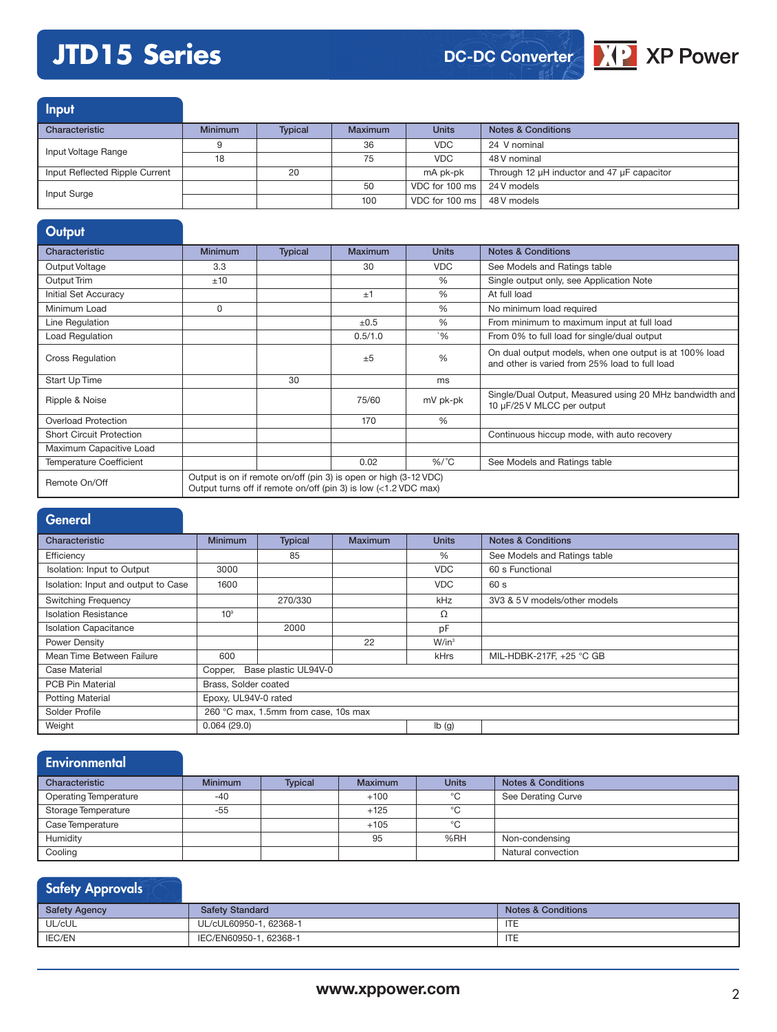## **JTD15 Series**

## **DC-DC Converter**



Input Characteristic **Minimum Typical Maximum Units Notes & Conditions** Input Voltage Range **9** 36 36 VDC 24 V nominal<br>
18 75 VDC 48 V nominal 48 V nominal Input Reflected Ripple Current 20 20 mA pk-pk Through 12 µH inductor and 47 µF capacitor Input Surge **19 Contract 100 ms** 24 V models and the second term in the second term in the second term in the second term in the second term in the second term in the second term in the second term in the second term in th 100 VDC for 100 ms 48 V models

### **Output** Characteristic **Minimum Typical Maximum Units Notes & Conditions** Output Voltage 3.3 30 VDC See Models and Ratings table Output Trim  $\pm 10$   $\pm 10$   $\pm 0$   $\pm 0$   $\pm 0$   $\pm 0$   $\pm 0$   $\pm 0$   $\pm 0$   $\pm 0$   $\pm 0$   $\pm 0$   $\pm 0$   $\pm 0$   $\pm 0$   $\pm 0$   $\pm 0$   $\pm 0$   $\pm 0$   $\pm 0$   $\pm 0$   $\pm 0$   $\pm 0$   $\pm 0$   $\pm 0$   $\pm 0$   $\pm 0$   $\pm 0$   $\pm 0$   $\pm 0$ Initial Set Accuracy  $\qquad$  |  $\qquad$   $\qquad$  | At full load Minimum Load 0 % No minimum load required Line Regulation ±0.5 % From minimum to maximum input at full load Load Regulation 0.5/1.0 `% From 0% to full load for single/dual output Cross Regulation ±5 % On dual output models, when one output is at 100% load and other is varied from 25% load to full load Start Up Time and the start Up Time and the start Up Time and the start Up Time and the start Up Time and the S Ripple & Noise **1980** mV pk-pk Single/Dual Output, Measured using 20 MHz bandwidth and 10 µF/25 V MLCC per output Overload Protection 170 % Short Circuit Protection **Continuous hiccup mode, with auto recovery** Continuous hiccup mode, with auto recovery Maximum Capacitive Load Temperature Coefficient 0.02 %/ ˚C See Models and Ratings table Remote On/Off Output is on if remote on/off (pin 3) is open or high (3-12 VDC) Output turns off if remote on/off (pin 3) is low (<1.2 VDC max)

## **General**

| Characteristic                      | <b>Minimum</b>       | <b>Typical</b>                       | <b>Maximum</b> | <b>Units</b> | <b>Notes &amp; Conditions</b> |  |  |  |
|-------------------------------------|----------------------|--------------------------------------|----------------|--------------|-------------------------------|--|--|--|
| Efficiency                          |                      | 85                                   |                | %            | See Models and Ratings table  |  |  |  |
| Isolation: Input to Output          | 3000                 |                                      |                | <b>VDC</b>   | 60 s Functional               |  |  |  |
| Isolation: Input and output to Case | 1600                 |                                      |                | <b>VDC</b>   | 60 s                          |  |  |  |
| <b>Switching Frequency</b>          |                      | 270/330                              |                | kHz          | 3V3 & 5 V models/other models |  |  |  |
| <b>Isolation Resistance</b>         | 10 <sup>9</sup>      |                                      |                | Ω            |                               |  |  |  |
| <b>Isolation Capacitance</b>        |                      | 2000                                 |                | pF           |                               |  |  |  |
| Power Density                       |                      |                                      | 22             | $W/in^3$     |                               |  |  |  |
| Mean Time Between Failure           | 600                  |                                      |                | kHrs         | MIL-HDBK-217F, +25 °C GB      |  |  |  |
| <b>Case Material</b>                | Copper,              | Base plastic UL94V-0                 |                |              |                               |  |  |  |
| <b>PCB Pin Material</b>             | Brass, Solder coated |                                      |                |              |                               |  |  |  |
| <b>Potting Material</b>             | Epoxy, UL94V-0 rated |                                      |                |              |                               |  |  |  |
| Solder Profile                      |                      | 260 °C max, 1.5mm from case, 10s max |                |              |                               |  |  |  |
| Weight                              | 0.064(29.0)          |                                      |                | Ib(g)        |                               |  |  |  |

| <b>Environmental</b>         |                |                |                |              |                               |
|------------------------------|----------------|----------------|----------------|--------------|-------------------------------|
| Characteristic               | <b>Minimum</b> | <b>Typical</b> | <b>Maximum</b> | <b>Units</b> | <b>Notes &amp; Conditions</b> |
| <b>Operating Temperature</b> | -40            |                | $+100$         | °C           | See Derating Curve            |
| Storage Temperature          | $-55$          |                | $+125$         | °C           |                               |
| Case Temperature             |                |                | $+105$         | °C           |                               |
| Humidity                     |                |                | 95             | %RH          | Non-condensing                |
| Cooling                      |                |                |                |              | Natural convection            |

## Safety Approvals Safety Agency Safety Standard Safety Standard Safety Standard Notes & Conditions UL/cUL UL/cUL60950-1, 62368-1 **ITE** IEC/EN60950-1, 62368-1 IEC/EN60950-1, 62368-1 ITE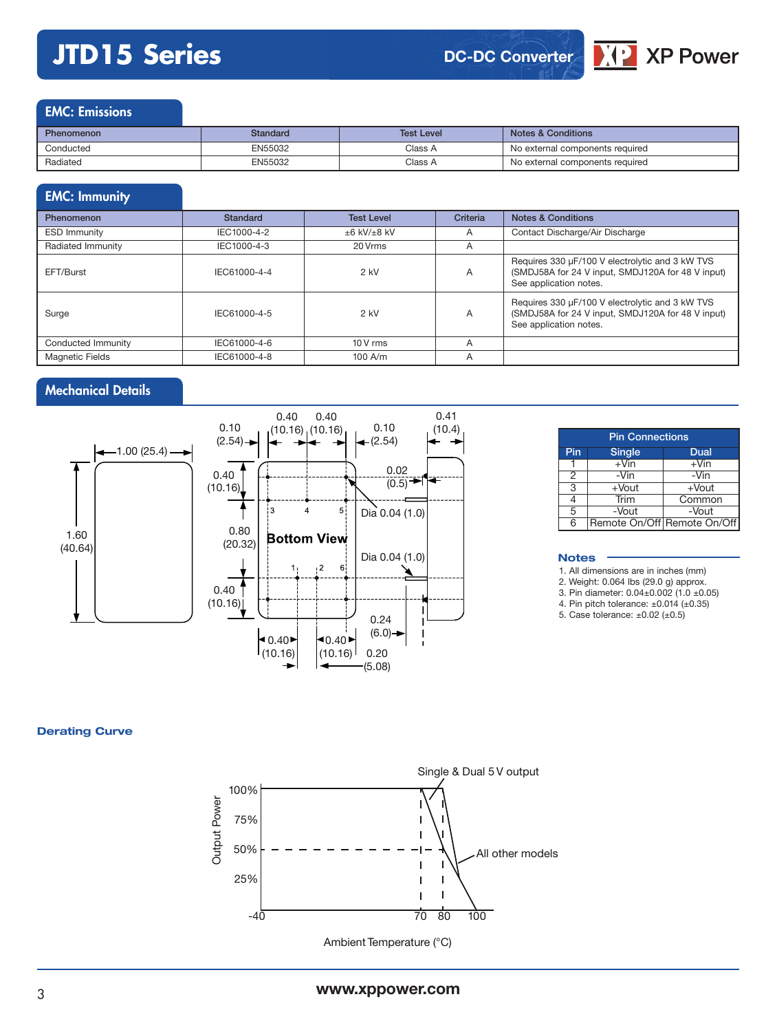# **JTD15 Series**

## **DC-DC Converter**



| Phenomenon | Standard | <b>Test Level</b> | <b>Notes &amp; Conditions</b>   |
|------------|----------|-------------------|---------------------------------|
| Conducted  | EN55032  | Class A           | No external components required |
| Radiated   | EN55032  | Class A           | No external components required |

## EMC: Immunity

| <b>Phenomenon</b>      | <b>Standard</b> | <b>Test Level</b> | Criteria | <b>Notes &amp; Conditions</b>                                                                                                  |
|------------------------|-----------------|-------------------|----------|--------------------------------------------------------------------------------------------------------------------------------|
| <b>ESD Immunity</b>    | IEC1000-4-2     | $±6$ kV/ $±8$ kV  | A        | Contact Discharge/Air Discharge                                                                                                |
| Radiated Immunity      | IEC1000-4-3     | 20 Vrms           | A        |                                                                                                                                |
| EFT/Burst              | IEC61000-4-4    | $2$ kV            | A        | Requires 330 µF/100 V electrolytic and 3 kW TVS<br>(SMDJ58A for 24 V input, SMDJ120A for 48 V input)<br>See application notes. |
| Surge                  | IEC61000-4-5    | $2$ kV            | A        | Requires 330 µF/100 V electrolytic and 3 kW TVS<br>(SMDJ58A for 24 V input, SMDJ120A for 48 V input)<br>See application notes. |
| Conducted Immunity     | IEC61000-4-6    | $10V$ rms         | A        |                                                                                                                                |
| <b>Magnetic Fields</b> | IEC61000-4-8    | $100$ A/m         | A        |                                                                                                                                |

## Mechanical Details



|     | <b>Pin Connections</b> |                             |  |  |  |  |  |  |  |
|-----|------------------------|-----------------------------|--|--|--|--|--|--|--|
| Pin | <b>Single</b>          | Dual                        |  |  |  |  |  |  |  |
|     | $+V$ in                | $+V$ in                     |  |  |  |  |  |  |  |
| 2   | -Vin                   | -Vin                        |  |  |  |  |  |  |  |
| 3   | $+$ Vout               | $+$ Vout                    |  |  |  |  |  |  |  |
|     | Trim                   | Common                      |  |  |  |  |  |  |  |
| 5   | -Vout                  | -Vout                       |  |  |  |  |  |  |  |
| ĥ.  |                        | Remote On/Off Remote On/Off |  |  |  |  |  |  |  |

 $\sqrt{2}$  XP Power

#### **Notes**

1. All dimensions are in inches (mm)

2. Weight: 0.064 lbs (29.0 g) approx.

3. Pin diameter: 0.04±0.002 (1.0 ±0.05)

4. Pin pitch tolerance: ±0.014 (±0.35) 5. Case tolerance:  $\pm 0.02$  ( $\pm 0.5$ )

**Derating Curve**



Ambient Temperature (°C)